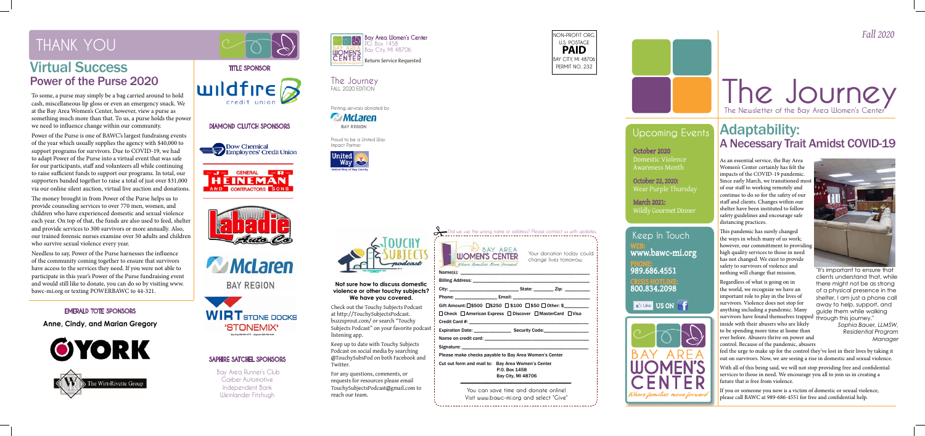*Fall 2020*

## **Upcoming Events**

**The Journey**

WEB: www.bawc-mi.org PHONE: 989.686.4551 CRISIS HOTLINE: 800.834.2098 **Keep In Touch**

**D** Like US ON



**NON-PROFIT ORG. U.S. POSTAGE PAID BAY CITY, MI 48706 PERMIT NO. 232**

Did we use the wrong name or address? Please contact us with updates.

## The Newsletter of the Bay Area Women's Cer Adaptability: A Necessary Trait Amidst COVID-19



**The Journey** FALL 2020 EDITION

Printing services donated by

McLaren **BAY REGION** 

> Your donation today could change lives tomorrow.

 $S\$ {Rate:}\n<math>zip:</math>



Billing Address:

Credit Card #:

Name on credit card: Signature: \_\_\_\_\_\_\_\_\_\_\_\_\_\_\_\_\_\_\_\_\_\_\_\_\_\_\_\_\_\_\_\_\_\_\_\_\_\_\_\_\_\_\_\_\_\_\_\_\_\_\_

Phone: \_\_\_\_\_\_\_\_\_\_\_\_\_\_\_\_\_ Email: \_\_\_\_\_\_\_\_\_\_\_\_\_\_\_\_\_\_\_\_\_\_\_\_\_\_\_\_\_\_\_

Gift Amount:  $\square$ \$500  $\square$ \$250  $\square$  \$100  $\square$  \$50  $\square$  Other: \$

 $\Box$  Check  $\Box$  American Express  $\Box$  Discover  $\Box$  MasterCard  $\Box$  Visa

Expiration Date: expiration Date:

Please make checks payable to Bay Area Women's Center

Cut out form and mail to: Bay Area Women's Center P.O. Box 1458 Bay City, MI 48706

**You can save time and donate online! Visit www.bawc-mi.org and select "Give"** 

Proud to be a United Way Impact Partner







As an essential service, the Bay Area Women's Center certainly has felt the impacts of the COVID-19 pandemic. Since early March, we transitioned most of our staff to working remotely and continue to do so for the safety of our staff and clients. Changes within our shelter have been instituted to follow safety guidelines and encourage safe distancing practices.

This pandemic has surely changed the ways in which many of us work; however, our committment to providing high quality services to those in need has not changed. We exist to provide safety to survivors of violence and nothing will change that mission.

Regardless of what is going on in the world, we recognize we have an important role to play in the lives of survivors. Violence does not stop for anything including a pandemic. Many survivors have found themselves trapped through this journey." inside with their abusers who are likely to be spending more time at home than ever before. Abusers thrive on power and control. Because of the pandemic, abusers



feel the urge to make up for the control they've lost in their lives by taking it out on survivors. Now, we are seeing a rise in domestic and sexual violence.

With all of this being said, we will not stop providing free and confidential services to those in need. We encourage you all to join us in creating a future that is free from violence.

If you or someone you now is a victim of domestic or sexual violence, please call BAWC at 989-686-4551 for free and confidential help.

To some, a purse may simply be a bag carried around to hold cash, miscellaneous lip gloss or even an emergency snack. We at the Bay Area Women's Center, however, view a purse as something much more than that. To us, a purse holds the power we need to influence change within our community.

Power of the Purse is one of BAWC's largest fundraisng events of the year which usually supplies the agency with \$40,000 to support programs for survivors. Due to COVID-19, we had to adapt Power of the Purse into a virtual event that was safe for our participants, staff and volunteers all while continuing to raise sufficient funds to support our programs. In total, our supporters banded together to raise a total of just over \$31,000 via our online silent auction, virtual live auction and donations.

The money brought in from Power of the Purse helps us to provide counseling services to over 770 men, women, and children who have experienced domestic and sexual violence each year. On top of that, the funds are also used to feed, shelter and provide services to 300 survivors or more annually. Also, our trained forensic nurses examine over 50 adults and children who survive sexual violence every year.

Needless to say, Power of the Purse harnesses the influence of the community coming together to ensure that survivors have access to the services they need. If you were not able to participate in this year's Power of the Purse fundraising event and would still like to donate, you can do so by visiting www. bawc-mi.org or texting POWERBAWC to 44-321.



**DIAMOND CLUTCH SPONSORS**









**BAY REGION** 



**Anne, Cindy, and Marian Gregory**





#### **SAPHIRE SATCHEL SPONSORS**

 Bay Area Runner's Club Garber Automotive Independent Bank Weinlander Fitzhugh

### **EMERALD TOTE SPONSORS**

"It's important to ensure that clients understand that, while there might not be as strong of a physical presence in the shelter, I am just a phone call away to help, support, and guide them while walking

> *Sophia Bauer, LLMSW, Residential Program Manager*

# **THANK YOU**

## Virtual Success Power of the Purse 2020

October 2020 Domestic Violence Awareness Month

October 22, 2020: Wear Purple Thursday

March 2021: Wildly Gourmet Dinner

**Not sure how to discuss domestic violence or other touchy subjects? We have you covered.**

Check out the Touchy Subjects Podcast at http://TouchySubjectsPodcast. buzzsprout.com/ or search "Touchy Subjects Podcast" on your favorite podcast listening app.

Keep up to date with Touchy Subjects Podcast on social media by searching @TouchySubsPod on both Facebook and Twitter.

For any questions, comments, or requests for resources please email TouchySubjectsPodcast@gmail.com to reach our team.